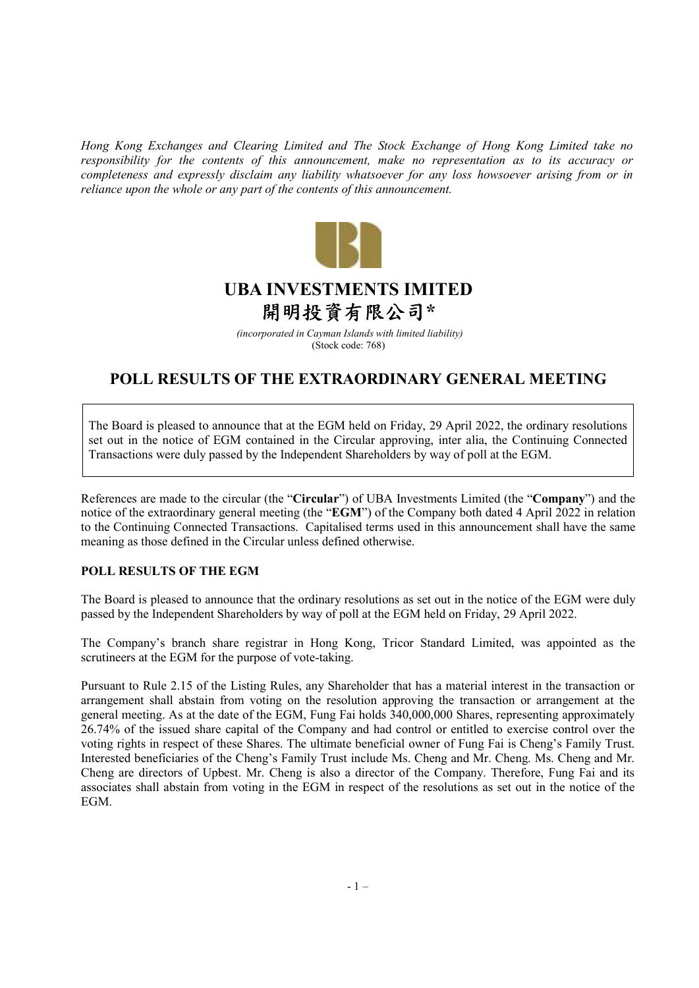*Hong Kong Exchanges and Clearing Limited and The Stock Exchange of Hong Kong Limited take no responsibility for the contents of this announcement, make no representation as to its accuracy or completeness and expressly disclaim any liability whatsoever for any loss howsoever arising from or in reliance upon the whole or any part of the contents of this announcement.* 



## **UBA INVESTMENTS IMITED** 開明投資有限公司**\***

 *(incorporated in Cayman Islands with limited liability)* (Stock code: 768)

## **POLL RESULTS OF THE EXTRAORDINARY GENERAL MEETING**

The Board is pleased to announce that at the EGM held on Friday, 29 April 2022, the ordinary resolutions set out in the notice of EGM contained in the Circular approving, inter alia, the Continuing Connected Transactions were duly passed by the Independent Shareholders by way of poll at the EGM.

References are made to the circular (the "**Circular**") of UBA Investments Limited (the "**Company**") and the notice of the extraordinary general meeting (the "**EGM**") of the Company both dated 4 April 2022 in relation to the Continuing Connected Transactions. Capitalised terms used in this announcement shall have the same meaning as those defined in the Circular unless defined otherwise.

## **POLL RESULTS OF THE EGM**

The Board is pleased to announce that the ordinary resolutions as set out in the notice of the EGM were duly passed by the Independent Shareholders by way of poll at the EGM held on Friday, 29 April 2022.

The Company's branch share registrar in Hong Kong, Tricor Standard Limited, was appointed as the scrutineers at the EGM for the purpose of vote-taking.

Pursuant to Rule 2.15 of the Listing Rules, any Shareholder that has a material interest in the transaction or arrangement shall abstain from voting on the resolution approving the transaction or arrangement at the general meeting. As at the date of the EGM, Fung Fai holds 340,000,000 Shares, representing approximately 26.74% of the issued share capital of the Company and had control or entitled to exercise control over the voting rights in respect of these Shares. The ultimate beneficial owner of Fung Fai is Cheng's Family Trust. Interested beneficiaries of the Cheng's Family Trust include Ms. Cheng and Mr. Cheng. Ms. Cheng and Mr. Cheng are directors of Upbest. Mr. Cheng is also a director of the Company. Therefore, Fung Fai and its associates shall abstain from voting in the EGM in respect of the resolutions as set out in the notice of the EGM.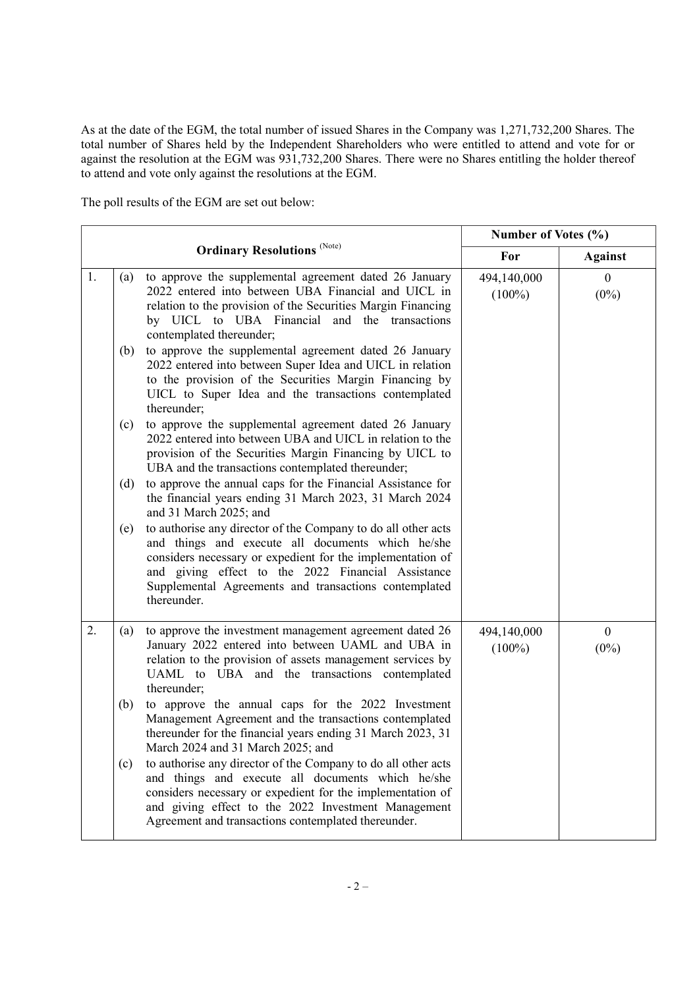As at the date of the EGM, the total number of issued Shares in the Company was 1,271,732,200 Shares. The total number of Shares held by the Independent Shareholders who were entitled to attend and vote for or against the resolution at the EGM was 931,732,200 Shares. There were no Shares entitling the holder thereof to attend and vote only against the resolutions at the EGM.

The poll results of the EGM are set out below:

| <b>Ordinary Resolutions (Note)</b> |     | Number of Votes (%)                                                                                                                                                                                                                                                                                            |                          |                             |
|------------------------------------|-----|----------------------------------------------------------------------------------------------------------------------------------------------------------------------------------------------------------------------------------------------------------------------------------------------------------------|--------------------------|-----------------------------|
|                                    |     | For                                                                                                                                                                                                                                                                                                            | <b>Against</b>           |                             |
| 1.                                 | (a) | to approve the supplemental agreement dated 26 January<br>2022 entered into between UBA Financial and UICL in<br>relation to the provision of the Securities Margin Financing<br>by UICL to UBA Financial and the transactions<br>contemplated thereunder;                                                     | 494,140,000<br>$(100\%)$ | $\boldsymbol{0}$<br>$(0\%)$ |
|                                    | (b) | to approve the supplemental agreement dated 26 January<br>2022 entered into between Super Idea and UICL in relation<br>to the provision of the Securities Margin Financing by<br>UICL to Super Idea and the transactions contemplated<br>thereunder;                                                           |                          |                             |
|                                    | (c) | to approve the supplemental agreement dated 26 January<br>2022 entered into between UBA and UICL in relation to the<br>provision of the Securities Margin Financing by UICL to<br>UBA and the transactions contemplated thereunder;                                                                            |                          |                             |
|                                    | (d) | to approve the annual caps for the Financial Assistance for<br>the financial years ending 31 March 2023, 31 March 2024<br>and 31 March 2025; and                                                                                                                                                               |                          |                             |
|                                    | (e) | to authorise any director of the Company to do all other acts<br>and things and execute all documents which he/she<br>considers necessary or expedient for the implementation of<br>and giving effect to the 2022 Financial Assistance<br>Supplemental Agreements and transactions contemplated<br>thereunder. |                          |                             |
| 2.                                 | (a) | to approve the investment management agreement dated 26<br>January 2022 entered into between UAML and UBA in<br>relation to the provision of assets management services by<br>UAML to UBA and the transactions contemplated<br>thereunder;                                                                     | 494,140,000<br>$(100\%)$ | $\mathbf{0}$<br>$(0\%)$     |
|                                    | (b) | to approve the annual caps for the 2022 Investment<br>Management Agreement and the transactions contemplated<br>thereunder for the financial years ending 31 March 2023, 31<br>March 2024 and 31 March 2025; and                                                                                               |                          |                             |
|                                    | (c) | to authorise any director of the Company to do all other acts<br>and things and execute all documents which he/she<br>considers necessary or expedient for the implementation of<br>and giving effect to the 2022 Investment Management<br>Agreement and transactions contemplated thereunder.                 |                          |                             |